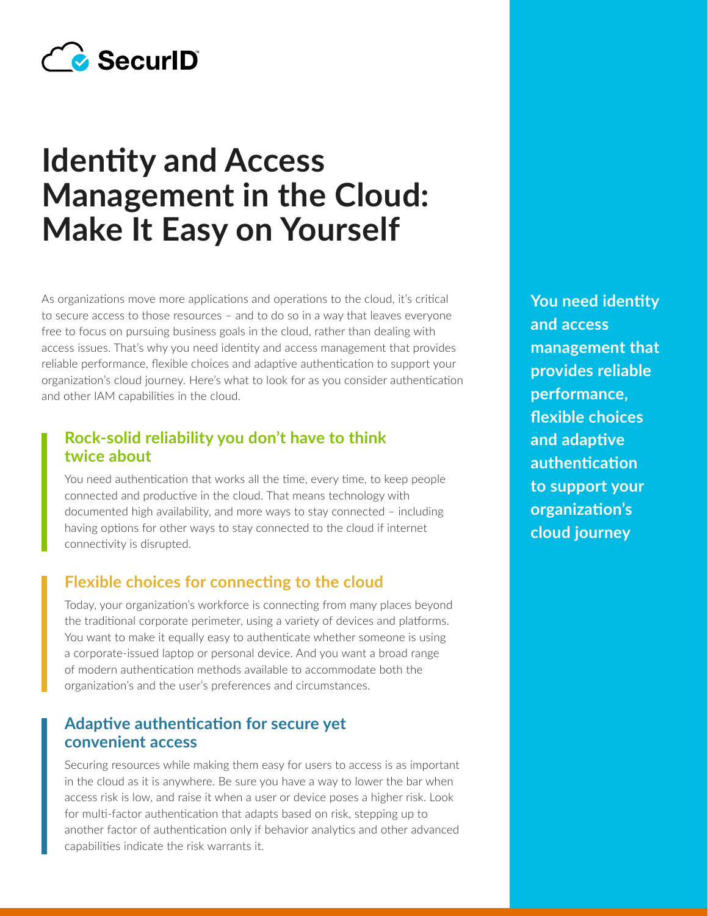

# **Identity and Access Management in the Cloud: Make It Easy on Yourself**

As organizations move more applications and operations to the cloud, it's critical to secure access to those resources – and to do so in a way that leaves everyone free to focus on pursuing business goals in the cloud, rather than dealing with access issues. That's why you need identity and access management that provides reliable performance, flexible choices and adaptive authentication to support your organization's cloud journey. Here's what to look for as you consider authentication and other IAM capabilities in the cloud.

## **Rock-solid reliability you don't have to think twice about**

You need authentication that works all the time, every time, to keep people connected and productive in the cloud. That means technology with documented high availability, and more ways to stay connected – including having options for other ways to stay connected to the cloud if internet connectivity is disrupted.

# **Flexible choices for connecting to the cloud**

Today, your organization's workforce is connecting from many places beyond the traditional corporate perimeter, using a variety of devices and platforms. You want to make it equally easy to authenticate whether someone is using a corporate-issued laptop or personal device. And you want a broad range of modern authentication methods available to accommodate both the organization's and the user's preferences and circumstances.

#### **Adaptive authentication for secure yet convenient access**

Securing resources while making them easy for users to access is as important in the cloud as it is anywhere. Be sure you have a way to lower the bar when access risk is low, and raise it when a user or device poses a higher risk. Look for multi-factor authentication that adapts based on risk, stepping up to another factor of authentication only if behavior analytics and other advanced capabilities indicate the risk warrants it.

**You need identity and access management that provides reliable performance, flexible choices and adaptive authentication to support your organization's cloud journey**